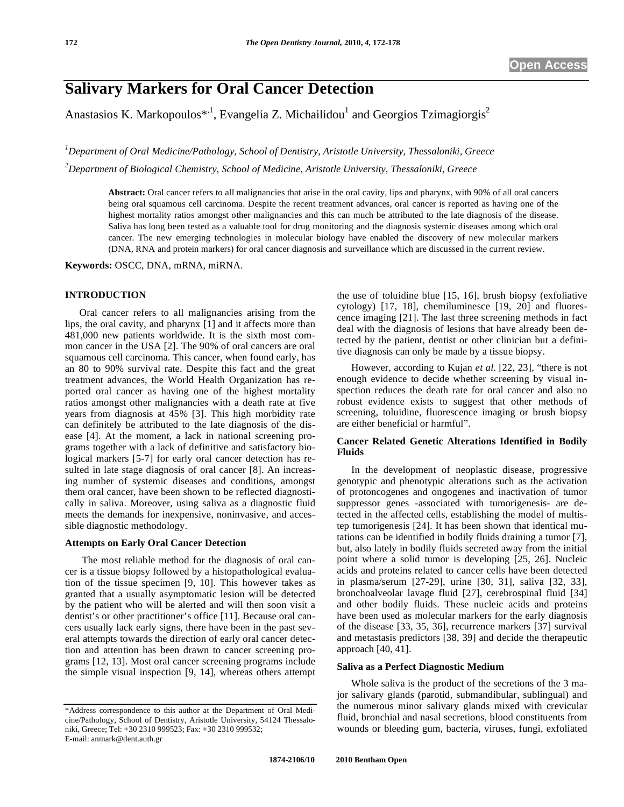# **Salivary Markers for Oral Cancer Detection**

Anastasios K. Markopoulos $^{*,1}$ , Evangelia Z. Michailidou<sup>1</sup> and Georgios Tzimagiorgis<sup>2</sup>

*1 Department of Oral Medicine/Pathology, School of Dentistry, Aristotle University, Thessaloniki, Greece 2 Department of Biological Chemistry, School of Medicine, Aristotle University, Thessaloniki, Greece* 

> **Abstract:** Oral cancer refers to all malignancies that arise in the oral cavity, lips and pharynx, with 90% of all oral cancers being oral squamous cell carcinoma. Despite the recent treatment advances, oral cancer is reported as having one of the highest mortality ratios amongst other malignancies and this can much be attributed to the late diagnosis of the disease. Saliva has long been tested as a valuable tool for drug monitoring and the diagnosis systemic diseases among which oral cancer. The new emerging technologies in molecular biology have enabled the discovery of new molecular markers (DNA, RNA and protein markers) for oral cancer diagnosis and surveillance which are discussed in the current review.

**Keywords:** OSCC, DNA, mRNA, miRNA.

## **INTRODUCTION**

Oral cancer refers to all malignancies arising from the lips, the oral cavity, and pharynx [1] and it affects more than 481,000 new patients worldwide. It is the sixth most common cancer in the USA [2]. The 90% of oral cancers are oral squamous cell carcinoma. This cancer, when found early, has an 80 to 90% survival rate. Despite this fact and the great treatment advances, the World Health Organization has reported oral cancer as having one of the highest mortality ratios amongst other malignancies with a death rate at five years from diagnosis at 45% [3]. This high morbidity rate can definitely be attributed to the late diagnosis of the disease [4]. At the moment, a lack in national screening programs together with a lack of definitive and satisfactory biological markers [5-7] for early oral cancer detection has resulted in late stage diagnosis of oral cancer [8]. An increasing number of systemic diseases and conditions, amongst them oral cancer, have been shown to be reflected diagnostically in saliva. Moreover, using saliva as a diagnostic fluid meets the demands for inexpensive, noninvasive, and accessible diagnostic methodology.

### **Attempts on Early Oral Cancer Detection**

 The most reliable method for the diagnosis of oral cancer is a tissue biopsy followed by a histopathological evaluation of the tissue specimen [9, 10]. This however takes as granted that a usually asymptomatic lesion will be detected by the patient who will be alerted and will then soon visit a dentist's or other practitioner's office [11]. Because oral cancers usually lack early signs, there have been in the past several attempts towards the direction of early oral cancer detection and attention has been drawn to cancer screening programs [12, 13]. Most oral cancer screening programs include the simple visual inspection [9, 14], whereas others attempt the use of toluidine blue [15, 16], brush biopsy (exfoliative cytology) [17, 18], chemiluminesce [19, 20] and fluorescence imaging [21]. The last three screening methods in fact deal with the diagnosis of lesions that have already been detected by the patient, dentist or other clinician but a definitive diagnosis can only be made by a tissue biopsy.

However, according to Kujan *et al*. [22, 23], "there is not enough evidence to decide whether screening by visual inspection reduces the death rate for oral cancer and also no robust evidence exists to suggest that other methods of screening, toluidine, fluorescence imaging or brush biopsy are either beneficial or harmful".

# **Cancer Related Genetic Alterations Identified in Bodily Fluids**

In the development of neoplastic disease, progressive genotypic and phenotypic alterations such as the activation of protoncogenes and ongogenes and inactivation of tumor suppressor genes -associated with tumorigenesis- are detected in the affected cells, establishing the model of multistep tumorigenesis [24]. It has been shown that identical mutations can be identified in bodily fluids draining a tumor [7], but, also lately in bodily fluids secreted away from the initial point where a solid tumor is developing [25, 26]. Nucleic acids and proteins related to cancer cells have been detected in plasma/serum [27-29], urine [30, 31], saliva [32, 33], bronchoalveolar lavage fluid [27], cerebrospinal fluid [34] and other bodily fluids. These nucleic acids and proteins have been used as molecular markers for the early diagnosis of the disease [33, 35, 36], recurrence markers [37] survival and metastasis predictors [38, 39] and decide the therapeutic approach [40, 41].

# **Saliva as a Perfect Diagnostic Medium**

Whole saliva is the product of the secretions of the 3 major salivary glands (parotid, submandibular, sublingual) and the numerous minor salivary glands mixed with crevicular fluid, bronchial and nasal secretions, blood constituents from wounds or bleeding gum, bacteria, viruses, fungi, exfoliated

<sup>\*</sup>Address correspondence to this author at the Department of Oral Medicine/Pathology, School of Dentistry, Aristotle University, 54124 Thessaloniki, Greece; Tel: +30 2310 999523; Fax: +30 2310 999532; E-mail: anmark@dent.auth.gr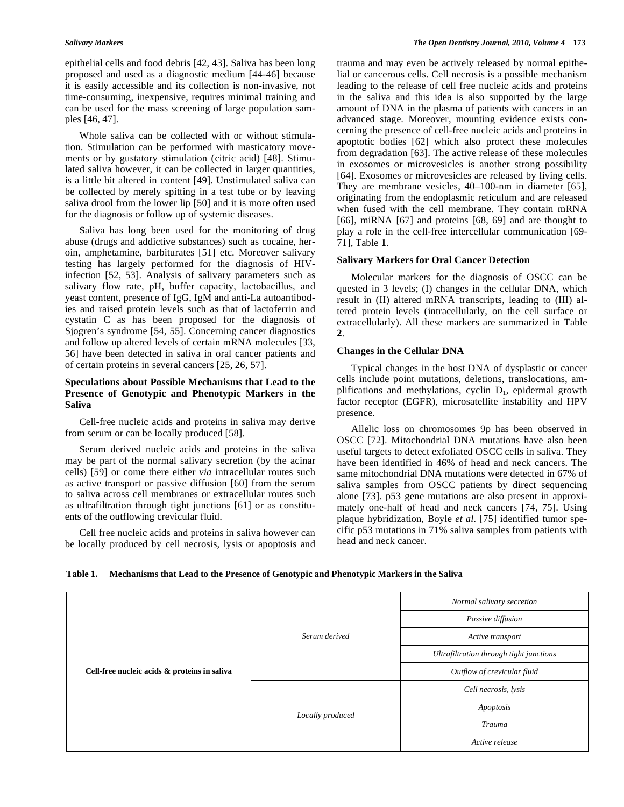epithelial cells and food debris [42, 43]. Saliva has been long proposed and used as a diagnostic medium [44-46] because it is easily accessible and its collection is non-invasive, not time-consuming, inexpensive, requires minimal training and can be used for the mass screening of large population samples [46, 47].

Whole saliva can be collected with or without stimulation. Stimulation can be performed with masticatory movements or by gustatory stimulation (citric acid) [48]. Stimulated saliva however, it can be collected in larger quantities, is a little bit altered in content [49]. Unstimulated saliva can be collected by merely spitting in a test tube or by leaving saliva drool from the lower lip [50] and it is more often used for the diagnosis or follow up of systemic diseases.

Saliva has long been used for the monitoring of drug abuse (drugs and addictive substances) such as cocaine, heroin, amphetamine, barbiturates [51] etc. Moreover salivary testing has largely performed for the diagnosis of HIVinfection [52, 53]. Analysis of salivary parameters such as salivary flow rate, pH, buffer capacity, lactobacillus, and yeast content, presence of IgG, IgM and anti-La autoantibodies and raised protein levels such as that of lactoferrin and cystatin C as has been proposed for the diagnosis of Sjogren's syndrome [54, 55]. Concerning cancer diagnostics and follow up altered levels of certain mRNA molecules [33, 56] have been detected in saliva in oral cancer patients and of certain proteins in several cancers [25, 26, 57].

# **Speculations about Possible Mechanisms that Lead to the Presence of Genotypic and Phenotypic Markers in the Saliva**

Cell-free nucleic acids and proteins in saliva may derive from serum or can be locally produced [58].

Serum derived nucleic acids and proteins in the saliva may be part of the normal salivary secretion (by the acinar cells) [59] or come there either *via* intracellular routes such as active transport or passive diffusion [60] from the serum to saliva across cell membranes or extracellular routes such as ultrafiltration through tight junctions [61] or as constituents of the outflowing crevicular fluid.

Cell free nucleic acids and proteins in saliva however can be locally produced by cell necrosis, lysis or apoptosis and trauma and may even be actively released by normal epithelial or cancerous cells. Cell necrosis is a possible mechanism leading to the release of cell free nucleic acids and proteins in the saliva and this idea is also supported by the large amount of DNA in the plasma of patients with cancers in an advanced stage. Moreover, mounting evidence exists concerning the presence of cell-free nucleic acids and proteins in apoptotic bodies [62] which also protect these molecules from degradation [63]. The active release of these molecules in exosomes or microvesicles is another strong possibility [64]. Exosomes or microvesicles are released by living cells. They are membrane vesicles, 40–100-nm in diameter [65], originating from the endoplasmic reticulum and are released when fused with the cell membrane. They contain mRNA [66], miRNA [67] and proteins [68, 69] and are thought to play a role in the cell-free intercellular communication [69- 71], Table **1**.

# **Salivary Markers for Oral Cancer Detection**

Molecular markers for the diagnosis of OSCC can be quested in 3 levels; (I) changes in the cellular DNA, which result in (II) altered mRNA transcripts, leading to (III) altered protein levels (intracellularly, on the cell surface or extracellularly). All these markers are summarized in Table **2**.

# **Changes in the Cellular DNA**

Typical changes in the host DNA of dysplastic or cancer cells include point mutations, deletions, translocations, amplifications and methylations, cyclin D<sub>1</sub>, epidermal growth factor receptor (EGFR), microsatellite instability and HPV presence.

Allelic loss on chromosomes 9p has been observed in OSCC [72]. Mitochondrial DNA mutations have also been useful targets to detect exfoliated OSCC cells in saliva. They have been identified in 46% of head and neck cancers. The same mitochondrial DNA mutations were detected in 67% of saliva samples from OSCC patients by direct sequencing alone [73]. p53 gene mutations are also present in approximately one-half of head and neck cancers [74, 75]. Using plaque hybridization, Boyle *et al.* [75] identified tumor specific p53 mutations in 71% saliva samples from patients with head and neck cancer.

#### **Table 1. Mechanisms that Lead to the Presence of Genotypic and Phenotypic Markers in the Saliva**

| Cell-free nucleic acids & proteins in saliva | Serum derived    | Normal salivary secretion               |
|----------------------------------------------|------------------|-----------------------------------------|
|                                              |                  | Passive diffusion                       |
|                                              |                  | Active transport                        |
|                                              |                  | Ultrafiltration through tight junctions |
|                                              |                  | Outflow of crevicular fluid             |
|                                              | Locally produced | Cell necrosis, lysis                    |
|                                              |                  | Apoptosis                               |
|                                              |                  | <b>Trauma</b>                           |
|                                              |                  | Active release                          |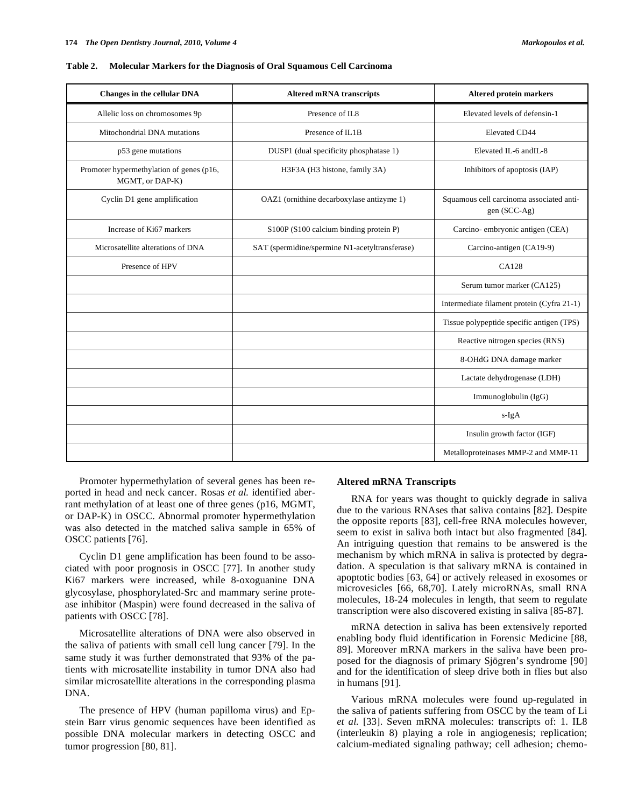| <b>Changes in the cellular DNA</b>                          | <b>Altered mRNA transcripts</b>                | Altered protein markers                                  |
|-------------------------------------------------------------|------------------------------------------------|----------------------------------------------------------|
| Allelic loss on chromosomes 9p                              | Presence of IL8                                | Elevated levels of defensin-1                            |
| Mitochondrial DNA mutations                                 | Presence of IL1B                               | <b>Elevated CD44</b>                                     |
| p53 gene mutations                                          | DUSP1 (dual specificity phosphatase 1)         | Elevated IL-6 and IL-8                                   |
| Promoter hypermethylation of genes (p16,<br>MGMT, or DAP-K) | H3F3A (H3 histone, family 3A)                  | Inhibitors of apoptosis (IAP)                            |
| Cyclin D1 gene amplification                                | OAZ1 (ornithine decarboxylase antizyme 1)      | Squamous cell carcinoma associated anti-<br>gen (SCC-Ag) |
| Increase of Ki67 markers                                    | S100P (S100 calcium binding protein P)         | Carcino-embryonic antigen (CEA)                          |
| Microsatellite alterations of DNA                           | SAT (spermidine/spermine N1-acetyltransferase) | Carcino-antigen (CA19-9)                                 |
| Presence of HPV                                             |                                                | CA128                                                    |
|                                                             |                                                | Serum tumor marker (CA125)                               |
|                                                             |                                                | Intermediate filament protein (Cyfra 21-1)               |
|                                                             |                                                | Tissue polypeptide specific antigen (TPS)                |
|                                                             |                                                | Reactive nitrogen species (RNS)                          |
|                                                             |                                                | 8-OHdG DNA damage marker                                 |
|                                                             |                                                | Lactate dehydrogenase (LDH)                              |
|                                                             |                                                | Immunoglobulin $(IgG)$                                   |
|                                                             |                                                | $s-IgA$                                                  |
|                                                             |                                                | Insulin growth factor (IGF)                              |
|                                                             |                                                | Metalloproteinases MMP-2 and MMP-11                      |

**Table 2. Molecular Markers for the Diagnosis of Oral Squamous Cell Carcinoma** 

Promoter hypermethylation of several genes has been reported in head and neck cancer. Rosas *et al.* identified aberrant methylation of at least one of three genes (p16, MGMT, or DAP-K) in OSCC. Abnormal promoter hypermethylation was also detected in the matched saliva sample in 65% of OSCC patients [76].

Cyclin D1 gene amplification has been found to be associated with poor prognosis in OSCC [77]. In another study Ki67 markers were increased, while 8-oxoguanine DNA glycosylase, phosphorylated-Src and mammary serine protease inhibitor (Maspin) were found decreased in the saliva of patients with OSCC [78].

Microsatellite alterations of DNA were also observed in the saliva of patients with small cell lung cancer [79]. In the same study it was further demonstrated that 93% of the patients with microsatellite instability in tumor DNA also had similar microsatellite alterations in the corresponding plasma DNA.

The presence of HPV (human papilloma virus) and Epstein Barr virus genomic sequences have been identified as possible DNA molecular markers in detecting OSCC and tumor progression [80, 81].

# **Altered mRNA Transcripts**

RNA for years was thought to quickly degrade in saliva due to the various RNAses that saliva contains [82]. Despite the opposite reports [83], cell-free RNA molecules however, seem to exist in saliva both intact but also fragmented [84]. An intriguing question that remains to be answered is the mechanism by which mRNA in saliva is protected by degradation. A speculation is that salivary mRNA is contained in apoptotic bodies [63, 64] or actively released in exosomes or microvesicles [66, 68,70]. Lately microRNAs, small RNA molecules, 18-24 molecules in length, that seem to regulate transcription were also discovered existing in saliva [85-87].

mRNA detection in saliva has been extensively reported enabling body fluid identification in Forensic Medicine [88, 89]. Moreover mRNA markers in the saliva have been proposed for the diagnosis of primary Sjögren's syndrome [90] and for the identification of sleep drive both in flies but also in humans [91].

Various mRNA molecules were found up-regulated in the saliva of patients suffering from OSCC by the team of Li *et al.* [33]. Seven mRNA molecules: transcripts of: 1. IL8 (interleukin 8) playing a role in angiogenesis; replication; calcium-mediated signaling pathway; cell adhesion; chemo-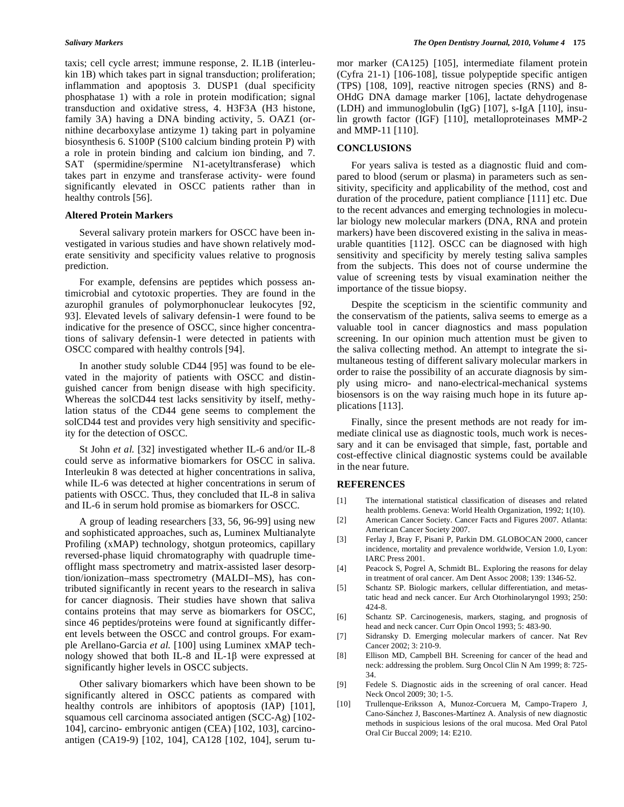taxis; cell cycle arrest; immune response, 2. IL1B (interleukin 1B) which takes part in signal transduction; proliferation; inflammation and apoptosis 3. DUSP1 (dual specificity phosphatase 1) with a role in protein modification; signal transduction and oxidative stress, 4. H3F3A (H3 histone, family 3A) having a DNA binding activity, 5. OAZ1 (ornithine decarboxylase antizyme 1) taking part in polyamine biosynthesis 6. S100P (S100 calcium binding protein P) with a role in protein binding and calcium ion binding, and 7. SAT (spermidine/spermine N1-acetyltransferase) which takes part in enzyme and transferase activity- were found significantly elevated in OSCC patients rather than in healthy controls [56].

# **Altered Protein Markers**

Several salivary protein markers for OSCC have been investigated in various studies and have shown relatively moderate sensitivity and specificity values relative to prognosis prediction.

For example, defensins are peptides which possess antimicrobial and cytotoxic properties. They are found in the azurophil granules of polymorphonuclear leukocytes [92, 93]. Elevated levels of salivary defensin-1 were found to be indicative for the presence of OSCC, since higher concentrations of salivary defensin-1 were detected in patients with OSCC compared with healthy controls [94].

In another study soluble CD44 [95] was found to be elevated in the majority of patients with OSCC and distinguished cancer from benign disease with high specificity. Whereas the solCD44 test lacks sensitivity by itself, methylation status of the CD44 gene seems to complement the solCD44 test and provides very high sensitivity and specificity for the detection of OSCC.

St John *et al.* [32] investigated whether IL-6 and/or IL-8 could serve as informative biomarkers for OSCC in saliva. Interleukin 8 was detected at higher concentrations in saliva, while IL-6 was detected at higher concentrations in serum of patients with OSCC. Thus, they concluded that IL-8 in saliva and IL-6 in serum hold promise as biomarkers for OSCC.

A group of leading researchers [33, 56, 96-99] using new and sophisticated approaches, such as, Luminex Multianalyte Profiling (xMAP) technology, shotgun proteomics, capillary reversed-phase liquid chromatography with quadruple timeofflight mass spectrometry and matrix-assisted laser desorption/ionization–mass spectrometry (MALDI–MS), has contributed significantly in recent years to the research in saliva for cancer diagnosis. Their studies have shown that saliva contains proteins that may serve as biomarkers for OSCC, since 46 peptides/proteins were found at significantly different levels between the OSCC and control groups. For example Arellano-Garcia *et al.* [100] using Luminex xMAP technology showed that both IL-8 and IL-1 $\beta$  were expressed at significantly higher levels in OSCC subjects.

Other salivary biomarkers which have been shown to be significantly altered in OSCC patients as compared with healthy controls are inhibitors of apoptosis (IAP) [101], squamous cell carcinoma associated antigen (SCC-Ag) [102- 104], carcino- embryonic antigen (CEA) [102, 103], carcinoantigen (CA19-9) [102, 104], CA128 [102, 104], serum tumor marker (CA125) [105], intermediate filament protein (Cyfra 21-1) [106-108], tissue polypeptide specific antigen (TPS) [108, 109], reactive nitrogen species (RNS) and 8- OHdG DNA damage marker [106], lactate dehydrogenase (LDH) and immunoglobulin (IgG) [107], s-IgA [110], insulin growth factor (IGF) [110], metalloproteinases MMP-2 and MMP-11 [110].

### **CONCLUSIONS**

For years saliva is tested as a diagnostic fluid and compared to blood (serum or plasma) in parameters such as sensitivity, specificity and applicability of the method, cost and duration of the procedure, patient compliance [111] etc. Due to the recent advances and emerging technologies in molecular biology new molecular markers (DNA, RNA and protein markers) have been discovered existing in the saliva in measurable quantities [112]. OSCC can be diagnosed with high sensitivity and specificity by merely testing saliva samples from the subjects. This does not of course undermine the value of screening tests by visual examination neither the importance of the tissue biopsy.

Despite the scepticism in the scientific community and the conservatism of the patients, saliva seems to emerge as a valuable tool in cancer diagnostics and mass population screening. In our opinion much attention must be given to the saliva collecting method. An attempt to integrate the simultaneous testing of different salivary molecular markers in order to raise the possibility of an accurate diagnosis by simply using micro- and nano-electrical-mechanical systems biosensors is on the way raising much hope in its future applications [113].

Finally, since the present methods are not ready for immediate clinical use as diagnostic tools, much work is necessary and it can be envisaged that simple, fast, portable and cost-effective clinical diagnostic systems could be available in the near future.

#### **REFERENCES**

- [1] The international statistical classification of diseases and related health problems. Geneva: World Health Organization, 1992; 1(10).
- [2] American Cancer Society. Cancer Facts and Figures 2007. Atlanta: American Cancer Society 2007.
- [3] Ferlay J, Bray F, Pisani P, Parkin DM. GLOBOCAN 2000, cancer incidence, mortality and prevalence worldwide, Version 1.0, Lyon: IARC Press 2001.
- [4] Peacock S, Pogrel A, Schmidt BL. Exploring the reasons for delay in treatment of oral cancer. Am Dent Assoc 2008; 139: 1346-52.
- [5] Schantz SP. Biologic markers, cellular differentiation, and metastatic head and neck cancer. Eur Arch Otorhinolaryngol 1993; 250: 424-8.
- [6] Schantz SP. Carcinogenesis, markers, staging, and prognosis of head and neck cancer. Curr Opin Oncol 1993; 5: 483-90.
- [7] Sidransky D. Emerging molecular markers of cancer. Nat Rev Cancer 2002; 3: 210-9.
- [8] Ellison MD, Campbell BH. Screening for cancer of the head and neck: addressing the problem. Surg Oncol Clin N Am 1999; 8: 725- 34.
- [9] Fedele S. Diagnostic aids in the screening of oral cancer. Head Neck Oncol 2009; 30; 1-5.
- [10] Trullenque-Eriksson A, Munoz-Corcuera M, Campo-Trapero J, Cano-Sánchez J, Bascones-Martínez A. Analysis of new diagnostic methods in suspicious lesions of the oral mucosa. Med Oral Patol Oral Cir Buccal 2009; 14: E210.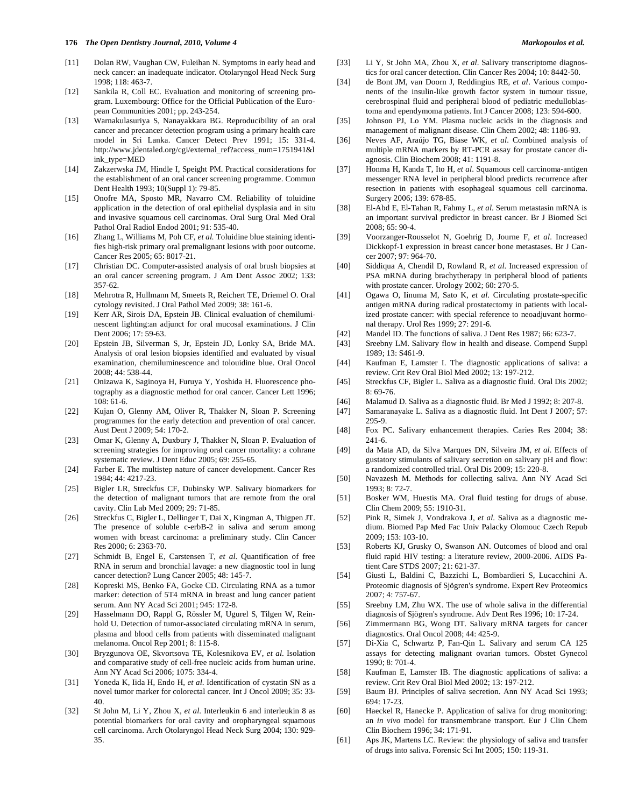- [11] Dolan RW, Vaughan CW, Fuleihan N. Symptoms in early head and neck cancer: an inadequate indicator. Otolaryngol Head Neck Surg 1998; 118: 463-7.
- [12] Sankila R, Coll EC. Evaluation and monitoring of screening program. Luxembourg: Office for the Official Publication of the European Communities 2001; pp. 243-254.
- [13] Warnakulasuriya S, Nanayakkara BG. Reproducibility of an oral cancer and precancer detection program using a primary health care model in Sri Lanka. Cancer Detect Prev 1991; 15: 331-4. http://www.jdentaled.org/cgi/external\_ref?access\_num=1751941&l ink\_type=MED
- [14] Zakzerwska JM, Hindle I, Speight PM. Practical considerations for the establishment of an oral cancer screening programme. Commun Dent Health 1993; 10(Suppl 1): 79-85.
- [15] Onofre MA, Sposto MR, Navarro CM. Reliability of toluidine application in the detection of oral epithelial dysplasia and in situ and invasive squamous cell carcinomas. Oral Surg Oral Med Oral Pathol Oral Radiol Endod 2001; 91: 535-40.
- [16] Zhang L, Williams M, Poh CF, *et al.* Toluidine blue staining identifies high-risk primary oral premalignant lesions with poor outcome. Cancer Res 2005; 65: 8017-21.
- [17] Christian DC. Computer-assisted analysis of oral brush biopsies at an oral cancer screening program. J Am Dent Assoc 2002; 133: 357-62.
- [18] Mehrotra R, Hullmann M, Smeets R, Reichert TE, Driemel O. Oral cytology revisited. J Oral Pathol Med 2009; 38: 161-6.
- [19] Kerr AR, Sirois DA, Epstein JB. Clinical evaluation of chemiluminescent lighting:an adjunct for oral mucosal examinations. J Clin Dent 2006; 17: 59-63.
- [20] Epstein JB, Silverman S, Jr, Epstein JD, Lonky SA, Bride MA. Analysis of oral lesion biopsies identified and evaluated by visual examination, chemiluminescence and tolouidine blue. Oral Oncol 2008; 44: 538-44.
- [21] Onizawa K, Saginoya H, Furuya Y, Yoshida H. Fluorescence photography as a diagnostic method for oral cancer. Cancer Lett 1996;  $108:61-6$ .
- [22] Kujan O, Glenny AM, Oliver R, Thakker N, Sloan P. Screening programmes for the early detection and prevention of oral cancer. Aust Dent J 2009; 54: 170-2.
- [23] Omar K, Glenny A, Duxbury J, Thakker N, Sloan P. Evaluation of screening strategies for improving oral cancer mortality: a cohrane systematic review. J Dent Educ 2005; 69: 255-65.
- [24] Farber E. The multistep nature of cancer development. Cancer Res 1984; 44: 4217-23.
- [25] Bigler LR, Streckfus CF, Dubinsky WP. Salivary biomarkers for the detection of malignant tumors that are remote from the oral cavity. Clin Lab Med 2009; 29: 71-85.
- [26] Streckfus C, Bigler L, Dellinger T, Dai X, Kingman A, Thigpen JT. The presence of soluble c-erbB-2 in saliva and serum among women with breast carcinoma: a preliminary study. Clin Cancer Res 2000; 6: 2363-70.
- [27] Schmidt B, Engel E, Carstensen T, *et al*. Quantification of free RNA in serum and bronchial lavage: a new diagnostic tool in lung cancer detection? Lung Cancer 2005; 48: 145-7.
- [28] Kopreski MS, Benko FA, Gocke CD. Circulating RNA as a tumor marker: detection of 5T4 mRNA in breast and lung cancer patient serum. Ann NY Acad Sci 2001; 945: 172-8.
- [29] Hasselmann DO, Rappl G, Rössler M, Ugurel S, Tilgen W, Reinhold U. Detection of tumor-associated circulating mRNA in serum, plasma and blood cells from patients with disseminated malignant melanoma. Oncol Rep 2001; 8: 115-8.
- [30] Bryzgunova OE, Skvortsova TE, Kolesnikova EV, *et al*. Isolation and comparative study of cell-free nucleic acids from human urine. Ann NY Acad Sci 2006; 1075: 334-4.
- [31] Yoneda K, Iida H, Endo H, *et al*. Identification of cystatin SN as a novel tumor marker for colorectal cancer. Int J Oncol 2009; 35: 33- 40.
- [32] St John M, Li Y, Zhou X, *et al*. Interleukin 6 and interleukin 8 as potential biomarkers for oral cavity and oropharyngeal squamous cell carcinoma. Arch Otolaryngol Head Neck Surg 2004; 130: 929- 35.
- [33] Li Y, St John MA, Zhou X, *et al*. Salivary transcriptome diagnostics for oral cancer detection. Clin Cancer Res 2004; 10: 8442-50.
- [34] de Bont JM, van Doorn J, Reddingius RE, *et al*. Various components of the insulin-like growth factor system in tumour tissue, cerebrospinal fluid and peripheral blood of pediatric medulloblastoma and ependymoma patients. Int J Cancer 2008; 123: 594-600.
- [35] Johnson PJ, Lo YM. Plasma nucleic acids in the diagnosis and management of malignant disease. Clin Chem 2002; 48: 1186-93.
- [36] Neves AF, Araújo TG, Biase WK, *et al*. Combined analysis of multiple mRNA markers by RT-PCR assay for prostate cancer diagnosis. Clin Biochem 2008; 41: 1191-8.
- [37] Honma H, Kanda T, Ito H, *et al*. Squamous cell carcinoma-antigen messenger RNA level in peripheral blood predicts recurrence after resection in patients with esophageal squamous cell carcinoma. Surgery 2006; 139: 678-85.
- [38] El-Abd E, El-Tahan R, Fahmy L, *et al*. Serum metastasin mRNA is an important survival predictor in breast cancer. Br J Biomed Sci 2008; 65: 90-4.
- [39] Voorzanger-Rousselot N, Goehrig D, Journe F, *et al*. Increased Dickkopf-1 expression in breast cancer bone metastases. Br J Cancer 2007; 97: 964-70.
- [40] Siddiqua A, Chendil D, Rowland R, *et al*. Increased expression of PSA mRNA during brachytherapy in peripheral blood of patients with prostate cancer. Urology 2002; 60: 270-5.
- [41] Ogawa O, Iinuma M, Sato K, *et al*. Circulating prostate-specific antigen mRNA during radical prostatectomy in patients with localized prostate cancer: with special reference to neoadjuvant hormonal therapy. Urol Res 1999; 27: 291-6.
- [42] Mandel ID. The functions of saliva. J Dent Res 1987; 66: 623-7.
- [43] Sreebny LM. Salivary flow in health and disease. Compend Suppl 1989; 13: S461-9.
- [44] Kaufman E, Lamster I. The diagnostic applications of saliva: a review. Crit Rev Oral Biol Med 2002; 13: 197-212.
- [45] Streckfus CF, Bigler L. Saliva as a diagnostic fluid. Oral Dis 2002; 8: 69-76.
- [46] Malamud D. Saliva as a diagnostic fluid. Br Med J 1992; 8: 207-8.
- [47] Samaranayake L. Saliva as a diagnostic fluid. Int Dent J 2007; 57: 295-9.
- [48] Fox PC. Salivary enhancement therapies. Caries Res 2004; 38: 241-6.
- [49] da Mata AD, da Silva Marques DN, Silveira JM, *et al*. Effects of gustatory stimulants of salivary secretion on salivary pH and flow: a randomized controlled trial. Oral Dis 2009; 15: 220-8.
- [50] Navazesh M. Methods for collecting saliva. Ann NY Acad Sci 1993; 8: 72-7.
- [51] Bosker WM, Huestis MA. Oral fluid testing for drugs of abuse. Clin Chem 2009; 55: 1910-31.
- [52] Pink R, Simek J, Vondrakova J, *et al*. Saliva as a diagnostic medium. Biomed Pap Med Fac Univ Palacky Olomouc Czech Repub 2009; 153: 103-10.
- [53] Roberts KJ, Grusky O, Swanson AN. Outcomes of blood and oral fluid rapid HIV testing: a literature review, 2000-2006. AIDS Patient Care STDS 2007; 21: 621-37.
- [54] Giusti L, Baldini C, Bazzichi L, Bombardieri S, Lucacchini A. Proteomic diagnosis of Sjögren's syndrome. Expert Rev Proteomics 2007; 4: 757-67.
- [55] Sreebny LM, Zhu WX. The use of whole saliva in the differential diagnosis of Sjögren's syndrome. Adv Dent Res 1996; 10: 17-24.
- [56] Zimmermann BG, Wong DT. Salivary mRNA targets for cancer diagnostics. Oral Oncol 2008; 44: 425-9.
- [57] Di-Xia C, Schwartz P, Fan-Qin L. Salivary and serum CA 125 assays for detecting malignant ovarian tumors. Obstet Gynecol 1990; 8: 701-4.
- [58] Kaufman E, Lamster IB. The diagnostic applications of saliva: a review. Crit Rev Oral Biol Med 2002; 13: 197-212.
- [59] Baum BJ. Principles of saliva secretion. Ann NY Acad Sci 1993; 694: 17-23.
- [60] Haeckel R, Hanecke P. Application of saliva for drug monitoring: an *in vivo* model for transmembrane transport. Eur J Clin Chem Clin Biochem 1996; 34: 171-91.
- [61] Aps JK, Martens LC. Review: the physiology of saliva and transfer of drugs into saliva. Forensic Sci Int 2005; 150: 119-31.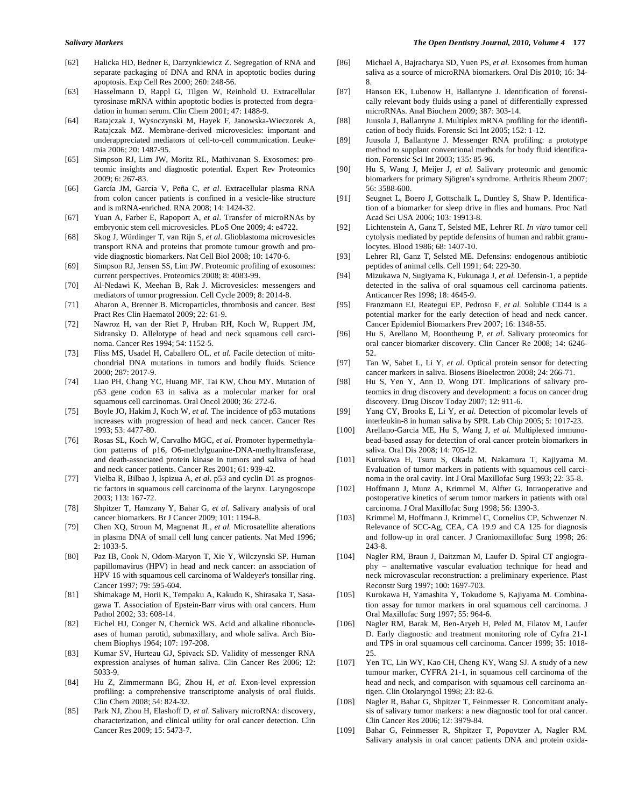- [62] Halicka HD, Bedner E, Darzynkiewicz Z. Segregation of RNA and separate packaging of DNA and RNA in apoptotic bodies during apoptosis. Exp Cell Res 2000; 260: 248-56.
- [63] Hasselmann D, Rappl G, Tilgen W, Reinhold U. Extracellular tyrosinase mRNA within apoptotic bodies is protected from degradation in human serum. Clin Chem 2001; 47: 1488-9.
- [64] Ratajczak J, Wysoczynski M, Hayek F, Janowska-Wieczorek A, Ratajczak MZ. Membrane-derived microvesicles: important and underappreciated mediators of cell-to-cell communication. Leukemia 2006; 20: 1487-95.
- [65] Simpson RJ, Lim JW, Moritz RL, Mathivanan S. Exosomes: proteomic insights and diagnostic potential. Expert Rev Proteomics 2009; 6: 267-83.
- [66] García JM, García V, Peña C, *et al*. Extracellular plasma RNA from colon cancer patients is confined in a vesicle-like structure and is mRNA-enriched. RNA 2008; 14: 1424-32.
- [67] Yuan A, Farber E, Rapoport A, *et al*. Transfer of microRNAs by embryonic stem cell microvesicles. PLoS One 2009; 4: e4722.
- [68] Skog J, Würdinger T, van Rijn S, *et al*. Glioblastoma microvesicles transport RNA and proteins that promote tumour growth and provide diagnostic biomarkers. Nat Cell Biol 2008; 10: 1470-6.
- [69] Simpson RJ, Jensen SS, Lim JW. Proteomic profiling of exosomes: current perspectives. Proteomics 2008; 8: 4083-99.
- [70] Al-Nedawi K, Meehan B, Rak J. Microvesicles: messengers and mediators of tumor progression. Cell Cycle 2009; 8: 2014-8.
- [71] Aharon A, Brenner B. Microparticles, thrombosis and cancer. Best Pract Res Clin Haematol 2009; 22: 61-9.
- [72] Nawroz H, van der Riet P, Hruban RH, Koch W, Ruppert JM, Sidransky D. Allelotype of head and neck squamous cell carcinoma. Cancer Res 1994; 54: 1152-5.
- [73] Fliss MS, Usadel H, Caballero OL, *et al.* Facile detection of mitochondrial DNA mutations in tumors and bodily fluids. Science 2000; 287: 2017-9.
- [74] Liao PH, Chang YC, Huang MF, Tai KW, Chou MY. Mutation of p53 gene codon 63 in saliva as a molecular marker for oral squamous cell carcinomas. Oral Oncol 2000; 36: 272-6.
- [75] Boyle JO, Hakim J, Koch W, *et al.* The incidence of p53 mutations increases with progression of head and neck cancer. Cancer Res 1993; 53: 4477-80.
- [76] Rosas SL, Koch W, Carvalho MGC, *et al.* Promoter hypermethylation patterns of p16, O6-methylguanine-DNA-methyltransferase, and death-associated protein kinase in tumors and saliva of head and neck cancer patients. Cancer Res 2001; 61: 939-42.
- [77] Vielba R, Bilbao J, Ispizua A, *et al.* p53 and cyclin D1 as prognostic factors in squamous cell carcinoma of the larynx. Laryngoscope 2003; 113: 167-72.
- [78] Shpitzer T, Hamzany Y, Bahar G, *et al*. Salivary analysis of oral cancer biomarkers. Br J Cancer 2009; 101: 1194-8.
- [79] Chen XQ, Stroun M, Magnenat JL, *et al.* Microsatellite alterations in plasma DNA of small cell lung cancer patients. Nat Med 1996; 2: 1033-5.
- [80] Paz IB, Cook N, Odom-Maryon T, Xie Y, Wilczynski SP. Human papillomavirus (HPV) in head and neck cancer: an association of HPV 16 with squamous cell carcinoma of Waldeyer's tonsillar ring. Cancer 1997; 79: 595-604.
- [81] Shimakage M, Horii K, Tempaku A, Kakudo K, Shirasaka T, Sasagawa T. Association of Epstein-Barr virus with oral cancers. Hum Pathol 2002; 33: 608-14.
- [82] Eichel HJ, Conger N, Chernick WS. Acid and alkaline ribonucleases of human parotid, submaxillary, and whole saliva. Arch Biochem Biophys 1964; 107: 197-208.
- [83] Kumar SV, Hurteau GJ, Spivack SD. Validity of messenger RNA expression analyses of human saliva. Clin Cancer Res 2006; 12: 5033-9.
- [84] Hu Z, Zimmermann BG, Zhou H, *et al*. Exon-level expression profiling: a comprehensive transcriptome analysis of oral fluids. Clin Chem 2008; 54: 824-32.
- [85] Park NJ, Zhou H, Elashoff D, *et al*. Salivary microRNA: discovery, characterization, and clinical utility for oral cancer detection. Clin Cancer Res 2009; 15: 5473-7.
- [86] Michael A, Bajracharya SD, Yuen PS, *et al.* Exosomes from human saliva as a source of microRNA biomarkers. Oral Dis 2010; 16: 34- 8.
- [87] Hanson EK, Lubenow H, Ballantyne J. Identification of forensically relevant body fluids using a panel of differentially expressed microRNAs. Anal Biochem 2009; 387: 303-14.
- [88] Juusola J, Ballantyne J. Multiplex mRNA profiling for the identification of body fluids. Forensic Sci Int 2005; 152: 1-12.
- [89] Juusola J, Ballantyne J. Messenger RNA profiling: a prototype method to supplant conventional methods for body fluid identification. Forensic Sci Int 2003; 135: 85-96.
- [90] Hu S, Wang J, Meijer J, *et al.* Salivary proteomic and genomic biomarkers for primary Sjögren's syndrome. Arthritis Rheum 2007; 56: 3588-600.
- [91] Seugnet L, Boero J, Gottschalk L, Duntley S, Shaw P. Identification of a biomarker for sleep drive in flies and humans. Proc Natl Acad Sci USA 2006; 103: 19913-8.
- [92] Lichtenstein A, Ganz T, Selsted ME, Lehrer RI. *In vitro* tumor cell cytolysis mediated by peptide defensins of human and rabbit granulocytes. Blood 1986; 68: 1407-10.
- [93] Lehrer RI, Ganz T, Selsted ME. Defensins: endogenous antibiotic peptides of animal cells. Cell 1991; 64: 229-30.
- [94] Mizukawa N, Sugiyama K, Fukunaga J, *et al.* Defensin-1, a peptide detected in the saliva of oral squamous cell carcinoma patients. Anticancer Res 1998; 18: 4645-9.
- [95] Franzmann EJ, Reategui EP, Pedroso F, *et al.* Soluble CD44 is a potential marker for the early detection of head and neck cancer. Cancer Epidemiol Biomarkers Prev 2007; 16: 1348-55.
- [96] Hu S, Arellano M, Boontheung P, *et al*. Salivary proteomics for oral cancer biomarker discovery. Clin Cancer Re 2008; 14: 6246- 52.
- [97] Tan W, Sabet L, Li Y, *et al*. Optical protein sensor for detecting cancer markers in saliva. Biosens Bioelectron 2008; 24: 266-71.
- [98] Hu S, Yen Y, Ann D, Wong DT. Implications of salivary proteomics in drug discovery and development: a focus on cancer drug discovery. Drug Discov Today 2007; 12: 911-6.
- [99] Yang CY, Brooks E, Li Y, *et al*. Detection of picomolar levels of interleukin-8 in human saliva by SPR. Lab Chip 2005; 5: 1017-23.
- [100] Arellano-Garcia ME, Hu S, Wang J, *et al.* Multiplexed immunobead-based assay for detection of oral cancer protein biomarkers in saliva. Oral Dis 2008; 14: 705-12.
- [101] Kurokawa H, Tsuru S, Okada M, Nakamura T, Kajiyama M. Evaluation of tumor markers in patients with squamous cell carcinoma in the oral cavity. Int J Oral Maxillofac Surg 1993; 22: 35-8.
- [102] Hoffmann J, Munz A, Krimmel M, Alfter G. Intraoperative and postoperative kinetics of serum tumor markers in patients with oral carcinoma. J Oral Maxillofac Surg 1998; 56: 1390-3.
- [103] Krimmel M, Hoffmann J, Krimmel C, Cornelius CP, Schwenzer N. Relevance of SCC-Ag, CEA, CA 19.9 and CA 125 for diagnosis and follow-up in oral cancer. J Craniomaxillofac Surg 1998; 26: 243-8.
- [104] Nagler RM, Braun J, Daitzman M, Laufer D. Spiral CT angiography – analternative vascular evaluation technique for head and neck microvascular reconstruction: a preliminary experience. Plast Reconstr Surg 1997; 100: 1697-703.
- [105] Kurokawa H, Yamashita Y, Tokudome S, Kajiyama M. Combination assay for tumor markers in oral squamous cell carcinoma. J Oral Maxillofac Surg 1997; 55: 964-6.
- [106] Nagler RM, Barak M, Ben-Aryeh H, Peled M, Filatov M, Laufer D. Early diagnostic and treatment monitoring role of Cyfra 21-1 and TPS in oral squamous cell carcinoma. Cancer 1999; 35: 1018- 25.
- [107] Yen TC, Lin WY, Kao CH, Cheng KY, Wang SJ. A study of a new tumour marker, CYFRA 21-1, in squamous cell carcinoma of the head and neck, and comparison with squamous cell carcinoma antigen. Clin Otolaryngol 1998; 23: 82-6.
- [108] Nagler R, Bahar G, Shpitzer T, Feinmesser R. Concomitant analysis of salivary tumor markers: a new diagnostic tool for oral cancer. Clin Cancer Res 2006; 12: 3979-84.
- [109] Bahar G, Feinmesser R, Shpitzer T, Popovtzer A, Nagler RM. Salivary analysis in oral cancer patients DNA and protein oxida-